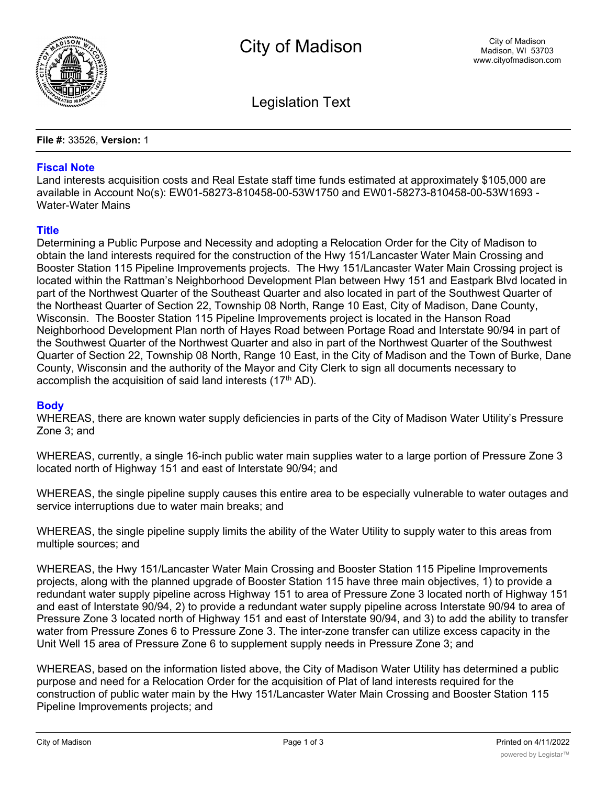

Legislation Text

**File #:** 33526, **Version:** 1

## **Fiscal Note**

Land interests acquisition costs and Real Estate staff time funds estimated at approximately \$105,000 are available in Account No(s): EW01-58273-810458-00-53W1750 and EW01-58273-810458-00-53W1693 - Water-Water Mains

## **Title**

Determining a Public Purpose and Necessity and adopting a Relocation Order for the City of Madison to obtain the land interests required for the construction of the Hwy 151/Lancaster Water Main Crossing and Booster Station 115 Pipeline Improvements projects. The Hwy 151/Lancaster Water Main Crossing project is located within the Rattman's Neighborhood Development Plan between Hwy 151 and Eastpark Blvd located in part of the Northwest Quarter of the Southeast Quarter and also located in part of the Southwest Quarter of the Northeast Quarter of Section 22, Township 08 North, Range 10 East, City of Madison, Dane County, Wisconsin. The Booster Station 115 Pipeline Improvements project is located in the Hanson Road Neighborhood Development Plan north of Hayes Road between Portage Road and Interstate 90/94 in part of the Southwest Quarter of the Northwest Quarter and also in part of the Northwest Quarter of the Southwest Quarter of Section 22, Township 08 North, Range 10 East, in the City of Madison and the Town of Burke, Dane County, Wisconsin and the authority of the Mayor and City Clerk to sign all documents necessary to accomplish the acquisition of said land interests  $(17<sup>th</sup> AD)$ .

## **Body**

WHEREAS, there are known water supply deficiencies in parts of the City of Madison Water Utility's Pressure Zone 3; and

WHEREAS, currently, a single 16-inch public water main supplies water to a large portion of Pressure Zone 3 located north of Highway 151 and east of Interstate 90/94; and

WHEREAS, the single pipeline supply causes this entire area to be especially vulnerable to water outages and service interruptions due to water main breaks; and

WHEREAS, the single pipeline supply limits the ability of the Water Utility to supply water to this areas from multiple sources; and

WHEREAS, the Hwy 151/Lancaster Water Main Crossing and Booster Station 115 Pipeline Improvements projects, along with the planned upgrade of Booster Station 115 have three main objectives, 1) to provide a redundant water supply pipeline across Highway 151 to area of Pressure Zone 3 located north of Highway 151 and east of Interstate 90/94, 2) to provide a redundant water supply pipeline across Interstate 90/94 to area of Pressure Zone 3 located north of Highway 151 and east of Interstate 90/94, and 3) to add the ability to transfer water from Pressure Zones 6 to Pressure Zone 3. The inter-zone transfer can utilize excess capacity in the Unit Well 15 area of Pressure Zone 6 to supplement supply needs in Pressure Zone 3; and

WHEREAS, based on the information listed above, the City of Madison Water Utility has determined a public purpose and need for a Relocation Order for the acquisition of Plat of land interests required for the construction of public water main by the Hwy 151/Lancaster Water Main Crossing and Booster Station 115 Pipeline Improvements projects; and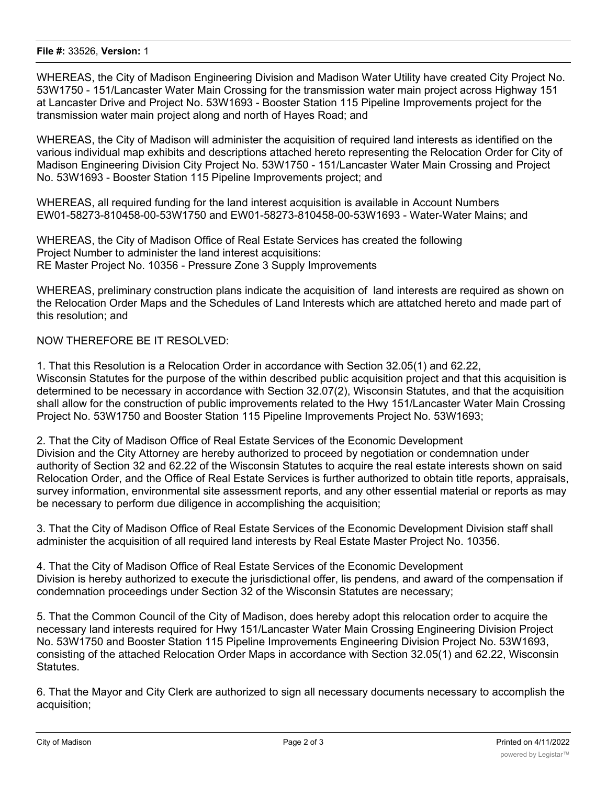#### **File #:** 33526, **Version:** 1

WHEREAS, the City of Madison Engineering Division and Madison Water Utility have created City Project No. 53W1750 - 151/Lancaster Water Main Crossing for the transmission water main project across Highway 151 at Lancaster Drive and Project No. 53W1693 - Booster Station 115 Pipeline Improvements project for the transmission water main project along and north of Hayes Road; and

WHEREAS, the City of Madison will administer the acquisition of required land interests as identified on the various individual map exhibits and descriptions attached hereto representing the Relocation Order for City of Madison Engineering Division City Project No. 53W1750 - 151/Lancaster Water Main Crossing and Project No. 53W1693 - Booster Station 115 Pipeline Improvements project; and

WHEREAS, all required funding for the land interest acquisition is available in Account Numbers EW01-58273-810458-00-53W1750 and EW01-58273-810458-00-53W1693 - Water-Water Mains; and

WHEREAS, the City of Madison Office of Real Estate Services has created the following Project Number to administer the land interest acquisitions: RE Master Project No. 10356 - Pressure Zone 3 Supply Improvements

WHEREAS, preliminary construction plans indicate the acquisition of land interests are required as shown on the Relocation Order Maps and the Schedules of Land Interests which are attatched hereto and made part of this resolution; and

# NOW THEREFORE BE IT RESOLVED:

1. That this Resolution is a Relocation Order in accordance with Section 32.05(1) and 62.22, Wisconsin Statutes for the purpose of the within described public acquisition project and that this acquisition is determined to be necessary in accordance with Section 32.07(2), Wisconsin Statutes, and that the acquisition shall allow for the construction of public improvements related to the Hwy 151/Lancaster Water Main Crossing Project No. 53W1750 and Booster Station 115 Pipeline Improvements Project No. 53W1693;

2. That the City of Madison Office of Real Estate Services of the Economic Development Division and the City Attorney are hereby authorized to proceed by negotiation or condemnation under authority of Section 32 and 62.22 of the Wisconsin Statutes to acquire the real estate interests shown on said Relocation Order, and the Office of Real Estate Services is further authorized to obtain title reports, appraisals, survey information, environmental site assessment reports, and any other essential material or reports as may be necessary to perform due diligence in accomplishing the acquisition;

3. That the City of Madison Office of Real Estate Services of the Economic Development Division staff shall administer the acquisition of all required land interests by Real Estate Master Project No. 10356.

4. That the City of Madison Office of Real Estate Services of the Economic Development Division is hereby authorized to execute the jurisdictional offer, lis pendens, and award of the compensation if condemnation proceedings under Section 32 of the Wisconsin Statutes are necessary;

5. That the Common Council of the City of Madison, does hereby adopt this relocation order to acquire the necessary land interests required for Hwy 151/Lancaster Water Main Crossing Engineering Division Project No. 53W1750 and Booster Station 115 Pipeline Improvements Engineering Division Project No. 53W1693, consisting of the attached Relocation Order Maps in accordance with Section 32.05(1) and 62.22, Wisconsin Statutes.

6. That the Mayor and City Clerk are authorized to sign all necessary documents necessary to accomplish the acquisition;